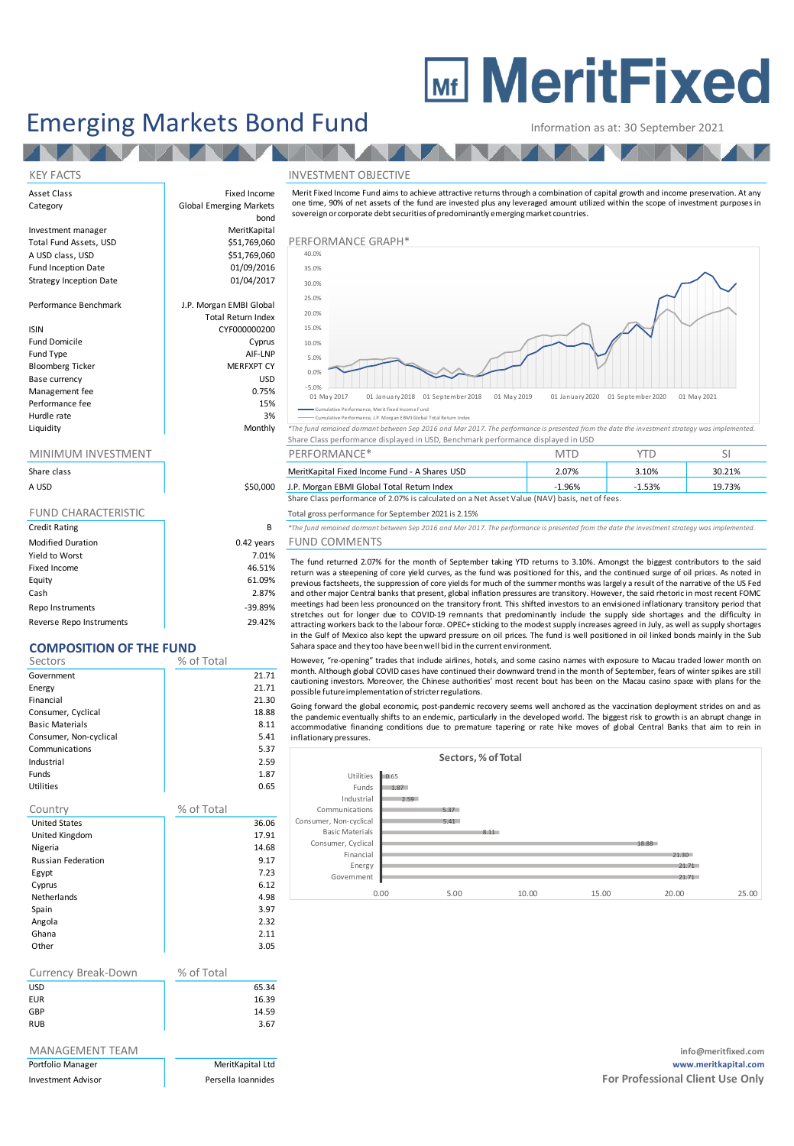# **MEDITY MeritFixed**

## Emerging Markets Bond Fund<br>
Information as at: 30 September 2021

**THE TEAM OF THE TEAM** 

#### KEY FACTS INVESTMENT OBJECTIVE

Asset Class **Fixed Income** Category **Global Emerging Markets** 

### MINIMUM INVESTMENT THE RESERVE PERFORMANCE\* THE SILL SEE AND MINIMUM INVESTMENT SILL SILL PERFORMANCE\*

| Share class                |            |
|----------------------------|------------|
| A USD                      | \$50,000   |
|                            |            |
| <b>FUND CHARACTERISTIC</b> |            |
| <b>Credit Rating</b>       | B          |
| <b>Modified Duration</b>   | 0.42 years |
| Yield to Worst             | 7.01%      |
| Fixed Income               | 46.51%     |
| Equity                     | 61.09%     |
| Cash                       | 2.87%      |

Repo Instruments and the set of the set of the set of the set of the set of the set of the set of the set of the set of the set of the set of the set of the set of the set of the set of the set of the set of the set of the Reverse Repo Instruments 29.42%

### **COMPOSITION OF THE FUND**

| וט וועטו ונטט זויטוש      | --------   |       |
|---------------------------|------------|-------|
| Sectors                   | % of Total |       |
| Government                |            | 21.71 |
| Energy                    |            | 21.71 |
| Financial                 |            | 21.30 |
| Consumer, Cyclical        |            | 18.88 |
| <b>Basic Materials</b>    |            | 8.11  |
| Consumer, Non-cyclical    |            | 5.41  |
| Communications            |            | 5.37  |
| Industrial                |            | 2.59  |
| Funds                     |            | 1.87  |
| <b>Utilities</b>          |            | 0.65  |
| Country                   | % of Total |       |
| <b>United States</b>      |            | 36.06 |
| United Kingdom            |            | 17.91 |
| Nigeria                   |            | 14.68 |
| <b>Russian Federation</b> |            | 9.17  |
| Egypt                     |            | 7.23  |
| Cyprus                    |            | 6.12  |
| <b>Netherlands</b>        |            | 4.98  |
| Spain                     |            | 3.97  |
| Angola                    |            | 2.32  |
| Ghana                     |            | 2.11  |
| Other                     |            | 3.05  |
|                           |            |       |
| Currency Break-Down       | % of Total |       |

| CULLELICY DI CAR-DOWLI | 70 UI TULAI |       |
|------------------------|-------------|-------|
| USD                    |             | 65.34 |
| EUR                    |             | 16.39 |
| GBP                    |             | 14.59 |
| <b>RUB</b>             |             | 3.67  |

| Portrollo Manager  |  |
|--------------------|--|
| Invoctment Adviser |  |

bond Investment manager MeritKapital A USD class, USD **Performance Graph Performance Graphs** \$51,769,060 Fund Inception Date 01/09/2016 Strategy Inception Date 01/04/2017 Performance Benchmark J.P. Morgan EMBI Global Total Return Index ISIN CYF000000200 Fund Domicile **Cyprus** Fund Type AIF-LNP Bloomberg Ticker MERFXPT CY Base currency USD Management fee between the contraction of the contraction of the contraction of the contraction of the contraction of the contraction of the contraction of the contraction of the contraction of the contraction of the contr Performance fee 15% Hurdle rate and the state of the 3% and 3% and 3% and 3% and 3% and 3% and 3% and 3% and 3% and 3% and 3% and 3% and 3% and 3% and 3% and 3% and 3% and 3% and 3% and 3% and 3% and 3% and 3% and 3% and 3% and 3% and 3% and



Merit Fixed Income Fund aims to achieve attractive returns through <sup>a</sup> combination of capital growth and income preservation. A t any one time, 90% of net assets of the fund are invested plus any leveraged amount utilized within the scope of investment purposes in

Cumulative Performance, Merit Fixed Income Fund Cumulative Performance, J.P. Morgan EBMI Global Total Return

Liquidity Monthly *\*The fund remained dormant between Sep 2016 and Mar 2017. The performance is presented from the date the investment strategy was implemented.* Share Class performance displayed in USD, Benchmark performance displayed in USD

| Share class |          | MeritKapital Fixed Income Fund - A Shares USD                                                 | 2.07% | 3.10% | 30.21% |
|-------------|----------|-----------------------------------------------------------------------------------------------|-------|-------|--------|
| A USD       | \$50,000 | J.P. Morgan EBMI Global Total Return Index                                                    | L.96% |       | 19.73% |
|             |          | Share Class performance of 2.07% is calculated on a Net Asset Value (NAV) basis, net of fees. |       |       |        |

Total gross performance for September 2021 is 2.15%

Credit Rating B *\*The fund remained dormant between Sep 2016 and Mar 2017. The performance is presented from the date the investment strategy was implemented.* ears FUND COMMENTS

The fund returned 2.07% for the month of September taking YTD returns to 3.10%. Amongst the biggest contributors to the said return was <sup>a</sup> steepening of core yield curves, as the fund was positioned for this, and the continued surge of oil prices. As noted i n previous factsheets, the suppression of core yields for much of the summer months was largely <sup>a</sup> result of the narrative of the US Fed and other major Central banks that present, global inflation pressures are transitory. However, the said rhetoric in most recent FOMC meetings had been less pronounced on the transitory front. This shifted investors to an envisioned inflationary transitory period that stretches out for longer due to COVID-19 remnants that predominantly indude the supply side shortages and the difficulty in attracting workers back to the labour force. OPEC+ sticking to the modest supply increases agreed in July, as well as supply shorta in the Gulf of Mexico also kept the upward pressure on oil prices. The fund is well positioned in oil linked bonds mainly in the Sub Sahara space and they too have been well bid in the current environment.

However, "re-opening" trades that include airlines, hotels, and some casino names with exposure to Macau traded lower month on month. Although global COVID cases have continued their downward trend in the month of September, fears of winter spikes are still cautioning investors. Moreover, the Chinese authorities' most recent bout has been on the Macau casino space with plans for the possible future implementation of stricter regulations.

Going forward the global economic, post-pandemic recovery seems well anchored as the vaccination deployment strides on and as the pandemic eventually shifts to an endemic, particularly in the developed world. The biggest risk to growth is an abrupt change in accommodative financing conditions due to premature tapering or rate hike moves of global Central Banks that aim to rein in inflationary pressures.



MANAGEMENT TEAM **info@meritfixed.com** Portfolio Manager MeritKapital Ltd **www.meritkapital.com** Investment Advisor **For Professional Client Use Only** Persella Ioannides **For Professional Client Use Only Persella Ioannides**